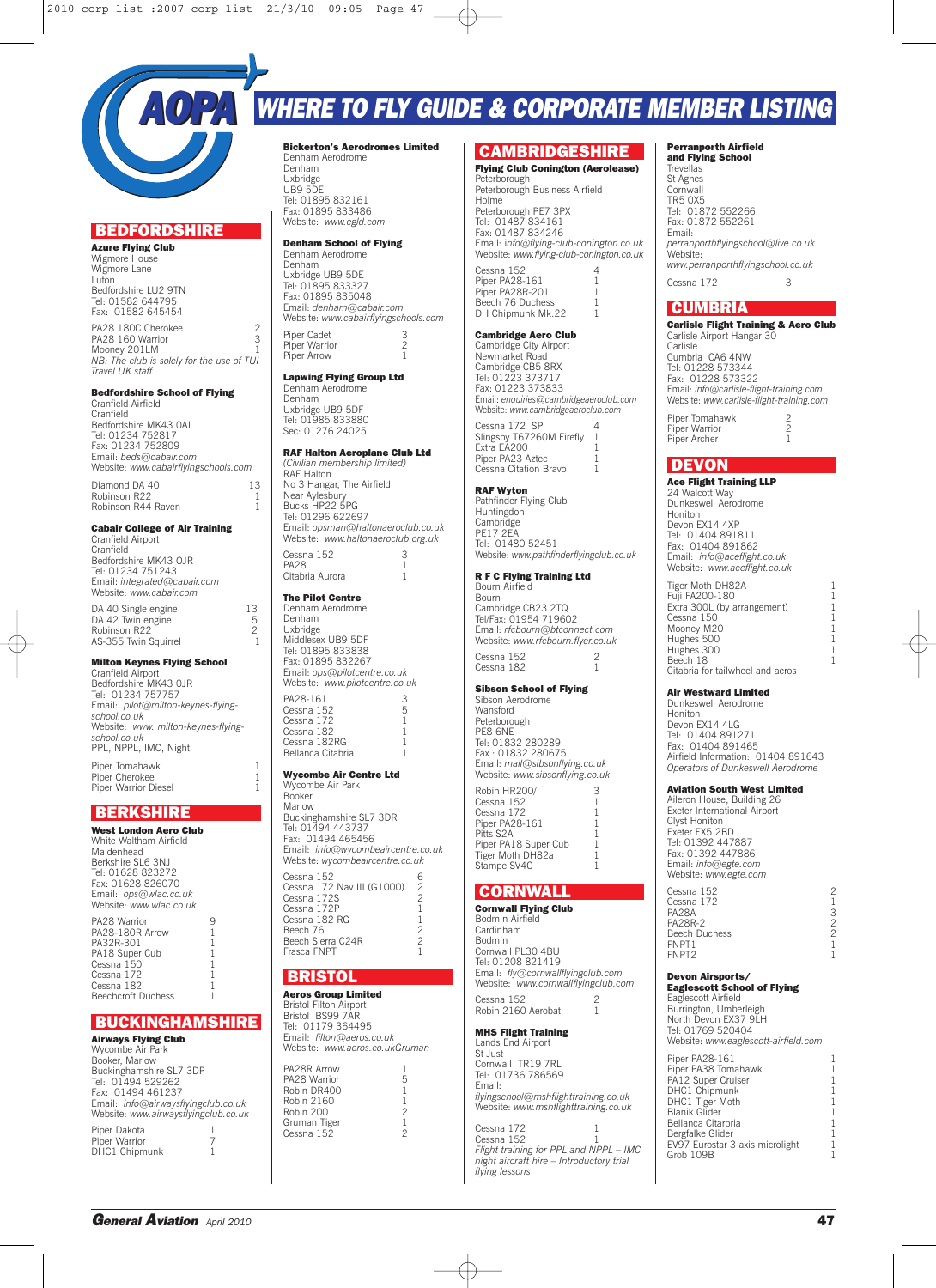

## **BEDFORDSHIRE**

**Azure Flying Club** Wigmore House Wigmore Lane **Luton** Bedfordshire LU2 9TN Tel: 01582 644795 Fax: 01582 645454 PA28 180C Cherokee 2<br>PA28 160 Warrior 3 PA28 160 Warrior Mooney 201LM 1 *NB: The club is solely for the use of TUI Travel UK staff.*

### **Bedfordshire School of Flying**

Cranfield Airfield Cranfield Bedfordshire MK43 0AL Tel: 01234 752817 Fax: 01234 752809 Email: *beds@cabair.com* Website: *www.cabairflyingschools.com*

Diamond DA 40 13 Robinson R22 1<br>Robinson R44 Raven 1 Robinson R44 Raven

## **Cabair College of Air Training**

Cranfield Airport **Cranfield** Bedfordshire MK43 OJR Tel: 01234 751243 Email: *integrated@cabair.com* Website: *www.cabair.com*

DA 40 Single engine 13 DA 42 Twin engine 5 Robinson R22 2 AS-355 Twin Squirrel 1

## **Milton Keynes Flying School**

Cranfield Airport Bedfordshire MK43 0JR Tel: 01234 757757 Email: *pilot@milton-keynes-flyingschool.co.uk* Website: *www. milton-keynes-flyingschool.co.uk* PPL, NPPL, IMC, Night Piper Tomahawk 1

Piper Cherokee 1<br>Piper Cherokee 1<br>Piner Warrior Diesel 1 Piper Warrior Diesel 1

## **BERKSHIRE**

**West London Aero Club** White Waltham Airfield Maidenhead Berkshire SL6 3NJ Tel: 01628 823272 Fax: 01628 826070 Email: *ops@wlac.co.uk* Website: *www.wlac.co.uk* PA28 Warrior 9 PA28-180R Arrow PA32R-301 PA18 Super Cub  $C$ essna  $150$ Cessna 172 Cessna 182 Beechcroft Duchess

## **BUCKINGHAMSHIRE**

**Airways Flying Club** Wycombe Air Park Booker, Marlow Buckinghamshire SL7 3DP Tel: 01494 529262 Fax: 01494 461237 Email: *info@airwaysflyingclub.co.uk* Website: *www.airwaysflyingclub.co.uk* Piper Dakota 1 Piper Warrior 7 DHC1 Chipmunk 1

#### **Bickerton's Aerodromes Limited** Denham Aerodrome Denham Uxbridge UB9 5DE Tel: 01895 832161 Fax: 01895 833486 Website: *www.egld.com*

## **Denham School of Flying**

Denham Aerodrome Denham Uxbridge UB9 5DE Tel: 01895 833327 Fax: 01895 835048 Email: *denham@cabair.com* Website: *www.cabairflyingschools.com*

Piper Cadet 3 Piner Warrior Piper Arrow 1

#### **Lapwing Flying Group Ltd** Denham Aerodrome

Denham Uxbridge UB9 5DF Tel: 01985 833880 Sec: 01276 24025

## **RAF Halton Aeroplane Club Ltd**

*(Civilian membership limited)* RAF Halton No 3 Hangar, The Airfield Near Aylesbury Bucks HP22 5PG Tel: 01296 622697 Email: *opsman@haltonaeroclub.co.uk* Website: *www.haltonaeroclub.org.uk* Cessna 152 3<br>PA28 1 PA28 1 Citabria Aurora 1

## **The Pilot Centre**

Denham Aerodrome Denham Uxbridge Middlesex UB9 5DF Tel: 01895 833838 Fax: 01895 832267 Email: *ops@pilotcentre.co.uk* Website: *www.pilotcentre.co.uk* PA28-161 3<br>Cessna 152 5 Cessna 152 Cessna 172

Cessna 182 1 Cessna 182RG 1 Bellanca Citabria 1

#### **Wycombe Air Centre Ltd** Wycombe Air Park Booker

Marlow Buckinghamshire SL7 3DR Tel: 01494 443737 Fax: 01494 465456 Email: *info@wycombeaircentre.co.uk* Website: *wycombeaircentre.co.uk* Cessna 152<br>Cessna 172 Nav III (G1000) 2 Cessna 172 Nav III (G1000) Cessna 172S<br>Cessna 172S<br>Cessna 172P<br>1 Cessna 172P Cessna 182 RG 1<br>Beech 76 1 Beech 76 2 Beech Sierra C24R 2

# Frasca FNPT 1

## **BRISTOL**

**Aeros Group Limited** Bristol Filton Airport Bristol BS99 7AR Tel: 01179 364495 Email: *filton@aeros.co.uk* Website: *www.aeros.co.ukGruman*

| PA28R Arrow  |                          |
|--------------|--------------------------|
| PA28 Warrior | 5                        |
| Robin DR400  | 1                        |
| Robin 2160   | 1                        |
| Robin 200    | $\overline{\phantom{a}}$ |
| Gruman Tiger | 1                        |
| Cessna 152   | $\mathfrak{D}$           |
|              |                          |
|              |                          |

## **CAMBRIDGESHIRE**

## **Flying Club Conington (Aerolease)**

Peterborough Peterborough Business Airfield Holme Peterborough PE7 3PX Tel: 01487 834161 Fax: 01487 834246 Email: i*nfo@flying-club-conington.co.uk* Website: *www.flying-club-conington.co.uk* Cessna 152 4 Piner PA28-161 Piper PA28R-201 1<br>Beech 76 Duchess 1 Beech 76 Duchess DH Chipmunk Mk.22

## **Cambridge Aero Club**

Cambridge City Airport Newmarket Road Cambridge CB5 8RX Tel: 01223 373717 Fax: 01223 373833 Email: *enquiries@cambridgeaeroclub.com* Website: *www.cambridgeaeroclub.com* Cessna 172 SP

Slingsby T67260M Firefly 1 Extra EA200 1 Piper PA23 Aztec Cessna Citation Bravo 1

#### **RAF Wyton** Pathfinder Flying Club

Huntingdon Cambridge PE17 2EA Tel: 01480 52451 Website: *www.pathfinderflyingclub.co.uk*

### **R F C Flying Training Ltd**

Bourn Airfield Bourn Cambridge CB23 2TQ Tel/Fax: 01954 719602 Email: *rfcbourn@btconnect.com* Website: *www.rfcbourn.flyer.co.uk* Cessna 152 2 Cessna 182

## **Sibson School of Flying**

Sibson Aerodrome Wansford Peterborough<br>PE8 6NE PE8 6NE Tel: 01832 280289 Fax : 01832 280675 Email: *mail@sibsonflying.co.uk* Website: *www.sibsonflying.co.uk* Robin HR200/ 3 Cessna 152 1 Cessna 172 1 Piper PA28-161<br>Pitts S2A

## **CORNWALL**

Stampe SV4C

Pitts S2A 1 Piper PA18 Super Cub 1 Tiper FATO Super Cub<br>Tiger Moth DH82a 1<br>Stampe SV4C 1

**Cornwall Flying Club** Bodmin Airfield Cardinham Bodmin Cornwall PL30 4BU Tel: 01208 821419 Email: *fly@cornwallflyingclub.com* Website: *www.cornwallflyingclub.com* Cessna 152

Robin 2160 Aerobat **MHS Flight Training**

Lands End Airport St Just Cornwall TR19 7RL Tel: 01736 786569 Email: *flyingschool@mshflighttraining.co.uk* Website: *www.mshflighttraining.co.uk*

Cessna 172 Cessna 152 *Flight training for PPL and NPPL – IMC night aircraft hire – Introductory trial flying lessons*

### **Perranporth Airfield**

**and Flying School Trevellas** St Agnes **Cornwall** TR5 0X5 Tel: 01872 552266 Fax: 01872 552261 Email: *perranporthflyingschool@live.co.uk* Website: *www.perranporthflyingschool.co.uk*  $C \text{e} \text{sgn} \cdot 172$  3

## **CUMBRIA**

#### **Carlisle Flight Training & Aero Club** Carlisle Airport Hangar 30

Carlisle Cumbria CA6 4NW Tel: 01228 573344 Fax: 01228 573322 Email: *info@carlisle-flight-training.com* Website: *www.carlisle-flight-training.com*

Piper Tomahawk 2<br>Piper Warrior 2 Piper Warrior Piper Archer 1

## **DEVON**

**Ace Flight Training LLP** 24 Walcott Way Dunkeswell Aerodrome

Honiton Devon EX14 4XP Tel: 01404 891811 Fax: 01404 891862 Email: *info@aceflight.co.uk* Website: *www.aceflight.co.uk*

| Fuji FA200-180<br>Extra 300L (by arrangement)<br>Cessna 150<br>Mooney M20<br>Hughes 500<br>Hughes 300<br>Beech 18 | Tiger Moth DH82A                 |   |
|-------------------------------------------------------------------------------------------------------------------|----------------------------------|---|
|                                                                                                                   |                                  | 1 |
|                                                                                                                   |                                  | 1 |
|                                                                                                                   |                                  | 1 |
|                                                                                                                   |                                  | 1 |
|                                                                                                                   |                                  | 1 |
|                                                                                                                   |                                  | 1 |
|                                                                                                                   |                                  | 1 |
|                                                                                                                   | Citabria for tailwheel and aeros |   |

### **Air Westward Limited**

Dunkeswell Aerodrome **Honiton** Devon EX14 4LG Tel: 01404 891271 Fax: 01404 891465 Airfield Information: 01404 891643 *Operators of Dunkeswell Aerodrome*

### **Aviation South West Limited**

Aileron House, Building 26 Exeter International Airport Clyst Honiton Exeter FX5 2BD Tel: 01392 447887 Fax: 01392 447886 Email: *info@egte.com* Website: *www.egte.com*

| Cessna 152<br>Cessna 172<br><b>PA28A</b><br>PA28R-2 | 2<br>З<br>2 |
|-----------------------------------------------------|-------------|
|                                                     |             |
|                                                     |             |
| <b>Beech Duchess</b>                                | 2           |
| FNPT1                                               |             |
| FNPT <sub>2</sub>                                   |             |
|                                                     |             |

## **Devon Airsports/ Eaglescott School of Flying**

Eaglescott Airfield Burrington, Umberleigh North Devon FX37 9LH Tel: 01769 520404 Website: *www.eaglescott-airfield.com*

| Piper PA28-161                  |   |
|---------------------------------|---|
| Piper PA38 Tomahawk             |   |
| PA12 Super Cruiser              |   |
| DHC1 Chipmunk                   |   |
| DHC1 Tiger Moth                 | 1 |
| <b>Blanik Glider</b>            |   |
| Bellanca Citarbria              |   |
| Bergfalke Glider                | 1 |
| EV97 Eurostar 3 axis microlight |   |
| Grob 109B                       |   |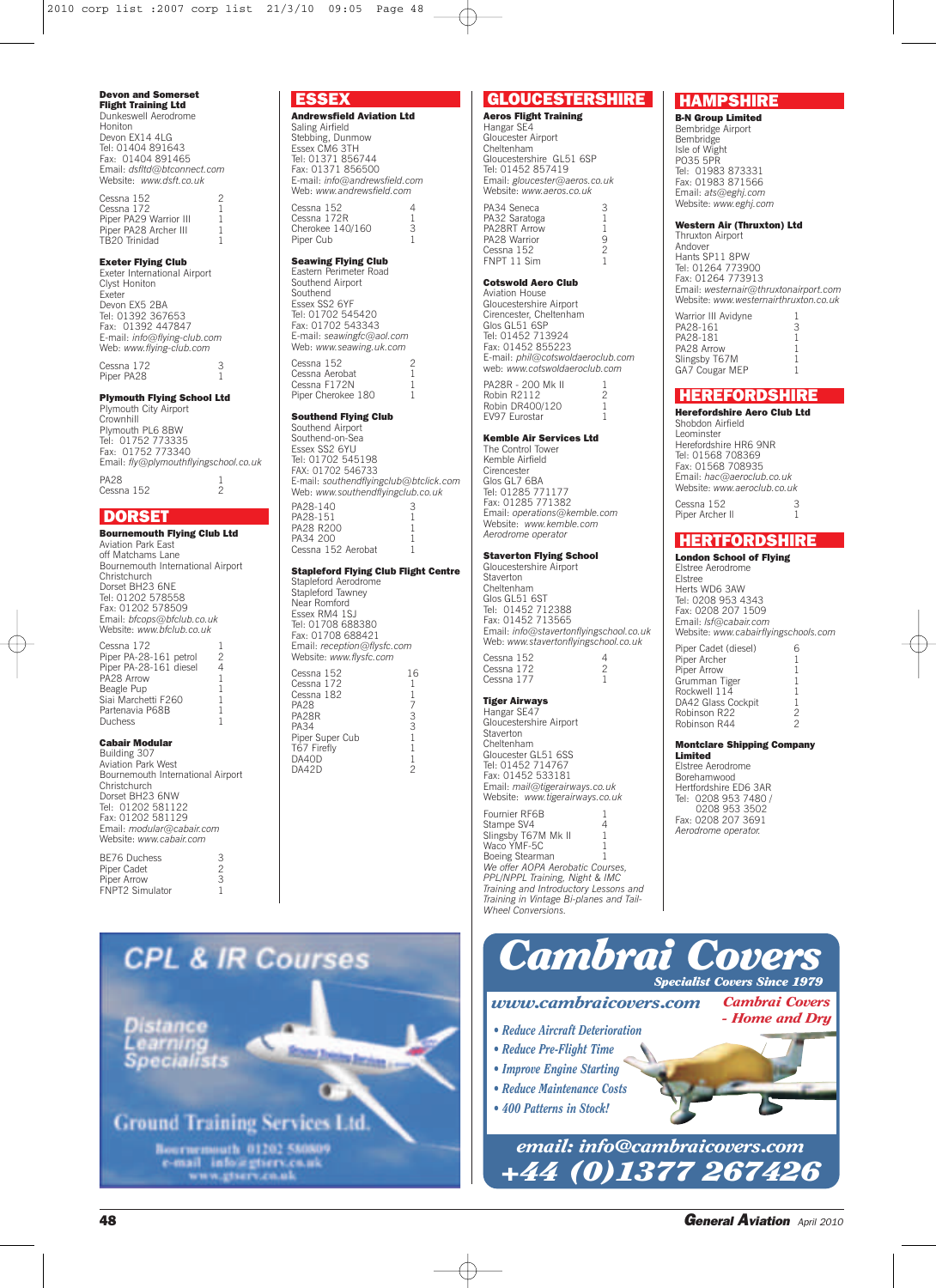#### **Devon and Somerset Flight Training Ltd**

Dunkeswell Aerodrome Honiton Devon EX14 4LG Tel: 01404 891643 Fax: 01404 891465 Email: *dsfltd@btconnect.com* Website: *www.dsft.co.uk*

Cessna 152<br>Cessna 172 1 Cessna 172<br>Piper PA29 Warrior III 1 Piper PA28 Archer III TB20 Trinidad 1

### **Exeter Flying Club**

Exeter International Airport Clyst Honiton Exeter Devon EX5 2BA Tel: 01392 367653 Fax: 01392 447847 E-mail: *info@flying-club.com* Web: *www.flying-club.com*

Cessna 172 Piper PA28

#### **Plymouth Flying School Ltd** Plymouth City Airport

**Crownhill** Plymouth PL6 8BW Tel: 01752 773335 Fax: 01752 773340 Email: *fly@plymouthflyingschool.co.uk* PA28 1<br>Cessna 152 2

 $Cessna 152$ 

## **DORSET**

**Bournemouth Flying Club Ltd** Aviation Park East off Matchams Lane Bournemouth International Airport **Christchurch** Dorset BH23 6NE Tel: 01202 578558 Fax: 01202 578509 Email: *bfcops@bfclub.co.uk* Website: *www.bfclub.co.uk*

Cessna 172 1 Piper PA-28-161 petrol 2 Piper PA-28-161 diesel 4 PA<sub>28</sub> Arrow Beagle Pup 1 Siai Marchetti F260 1<br>Partenavia P68B 1 Partenavia P68B 1 Duchess 1

### **Cabair Modular**

Building 307 Aviation Park West Bournemouth International Airport Christchurch Dorset BH23 6NW Tel: 01202 581122 Fax: 01202 581129 Email: *modular@cabair.com* Website: *www.cabair.com*

BE76 Duchess 3<br>Piper Cadet 2 Piper Cadet 2<br>Piper Arrow 3 Piper Arrow 3<br>FNPT2 Simulator 1 FNPT2 Simulator 1

Distance

## **ESSEX Andrewsfield Aviation Ltd**

Saling Airfield Stebbing, Dunmow Essex CM6 3TH Tel: 01371 856744 Fax: 01371 856500 E-mail: *info@andrewsfield.com* Web: *www.andrewsfield.com* Cessna 152 4 Cessna 172R<br>Cherokee 140/160 3 Cherokee  $140/160$  3<br>Piner Cub Piper Cub

## **Seawing Flying Club**

Eastern Perimeter Road Southend Airport Southend Essex SS2 6YF Tel: 01702 545420 Fax: 01702 543343 E-mail: *seawingfc@aol.com* Web: *www.seawing.uk.com*

Cessna 152 2 Cessna Aerobat Cessna F172N 1<br>Piner Cherokee 180 1 Piper Cherokee 180

## **Southend Flying Club**

Southend Airport Southend-on-Sea Essex SS2 6YU Tel: 01702 545198 FAX: 01702 546733 E-mail: *southendflyingclub@btclick.com* Web: *www.southendflyingclub.co.uk*

| PA28-140           |  |
|--------------------|--|
| PA28-151           |  |
| PA28 R200          |  |
| PA34 200           |  |
| Cessna 152 Aerobat |  |

#### **Stapleford Flying Club Flight Centre**

Stapleford Aerodrome Stapleford Tawney Near Romford Essex RM4 1SJ Tel: 01708 688380 Fax: 01708 688421 Email: *reception@flysfc.com* Website: *www.flysfc.com* Cessna 152 16 Cessna 172 1

| Cessna 182      |   |
|-----------------|---|
| <b>PA28</b>     |   |
| PA28R           | 3 |
| <b>PA34</b>     | 3 |
| Piper Super Cub | 1 |
| T67 Firefly     | 1 |
| DA40D           |   |
| DA42D           | 2 |
|                 |   |



**Aeros Flight Training** Hangar SE4 Gloucester Airport Cheltenham Gloucestershire GL51 6SP Tel: 01452 857419 Email: *gloucester@aeros.co.uk* Website: *www.aeros.co.uk* PA34 Seneca 3 PA32 Saratoga 1 PA28RT Arrow 1 PA28 Warrior 9

### **Cotswold Aero Club**

FNPT 11 Sim

Cessna  $152$ <br>
ENPT 11 Sim

Aviation House Gloucestershire Airport Cirencester, Cheltenham Glos GL51 6SP Tel: 01452 713924 Fax: 01452 855223 E-mail: *phil@cotswoldaeroclub.com* web: *www.cotswoldaeroclub.com* PA28R - 200 Mk II 1 Robin R2112 2<br>Robin DR400/120 1

Robin DR400/120 EV97 Eurostar

## **Kemble Air Services Ltd**

The Control Tower Kemble Airfield **Cirencester** Glos GL7 6BA Tel: 01285 771177 Fax: 01285 771382 Email: *operations@kemble.com* Website: *www.kemble.com Aerodrome operator*

#### **Staverton Flying School**

Gloucestershire Airport **Staverton** Cheltenham Glos GL51 6ST Tel: 01452 712388 Fax: 01452 713565 Email: *info@stavertonflyingschool.co.uk* Web: *www.stavertonflyingschool.co.uk* Cessna 152<br>Cessna 172 2<br>Cessna 177 1 Cessna 172 Cessna 177

#### **Tiger Airways**

Hangar SE47 Gloucestershire Airport Staverton Cheltenham Gloucester GL51 6SS Tel: 01452 714767 Fax: 01452 533181 Email: *mail@tigerairways.co.uk* Website: *www.tigerairways.co.uk*

Fournier RF6B 1<br>Stampe SV4 1 Stampe SV4 4 Slingsby T67M Mk II 1 Waco YMF-5C 1 Boeing Stearman 1 *We offer AOPA Aerobatic Courses, PPL/NPPL Training, Night & IMC Training and Introductory Lessons and Training in Vintage Bi-planes and Tail-Wheel Conversions.*

## **HAMPSHIRE**

**B-N Group Limited** Bembridge Airport Bembridge Isle of Wight PO35 5PR Tel: 01983 873331 Fax: 01983 871566 Email: *ats@eghj.com* Website: *www.eghj.com*

#### **Western Air (Thruxton) Ltd**

Thruxton Airport Andover Hants SP11 8PW Tel: 01264 773900 Fax: 01264 773913 Email: *westernair@thruxtonairport.com* Website: *www.westernairthruxton.co.uk*

| Warrior III Avidyne |   |
|---------------------|---|
| PA28-161            | 3 |
| PA28-181            |   |
| PA28 Arrow          | 1 |
| Slingsby T67M       | 1 |
| GA7 Cougar MEP      |   |
|                     |   |

## **HEREFORDSHIRE**

**Herefordshire Aero Club Ltd** Shobdon Airfield Leominster Herefordshire HR6 9NR Tel: 01568 708369 Fax: 01568 708935 Email: *hac@aeroclub.co.uk* Website: *www.aeroclub.co.uk* Cessna 152<br>Piper Archer II 3 Piper Archer ll 1

## **HERTFORDSHIRE**

**London School of Flying** Elstree Aerodrome Elstree Herts WD6 3AW Tel: 0208 953 4343 Fax: 0208 207 1509 Email: *lsf@cabair.com* Website: *www.cabairflyingschools.com*

| Piper Cadet (diesel) | 6 |
|----------------------|---|
| Piper Archer         | 1 |
| Piper Arrow          | 1 |
| Grumman Tiger        | 1 |
| Rockwell 114         | 1 |
| DA42 Glass Cockpit   | 1 |
| Robinson R22         | 2 |
| Robinson R44         | 2 |
|                      |   |

#### **Montclare Shipping Company Limited**

Elstree Aerodrome Borehamwood Hertfordshire ED6 3AR Tel: 0208 953 7480 / 0208 953 3502 Fax: 0208 207 3691 *Aerodrome operator.*



*Cambrai Covers - Home and Dry*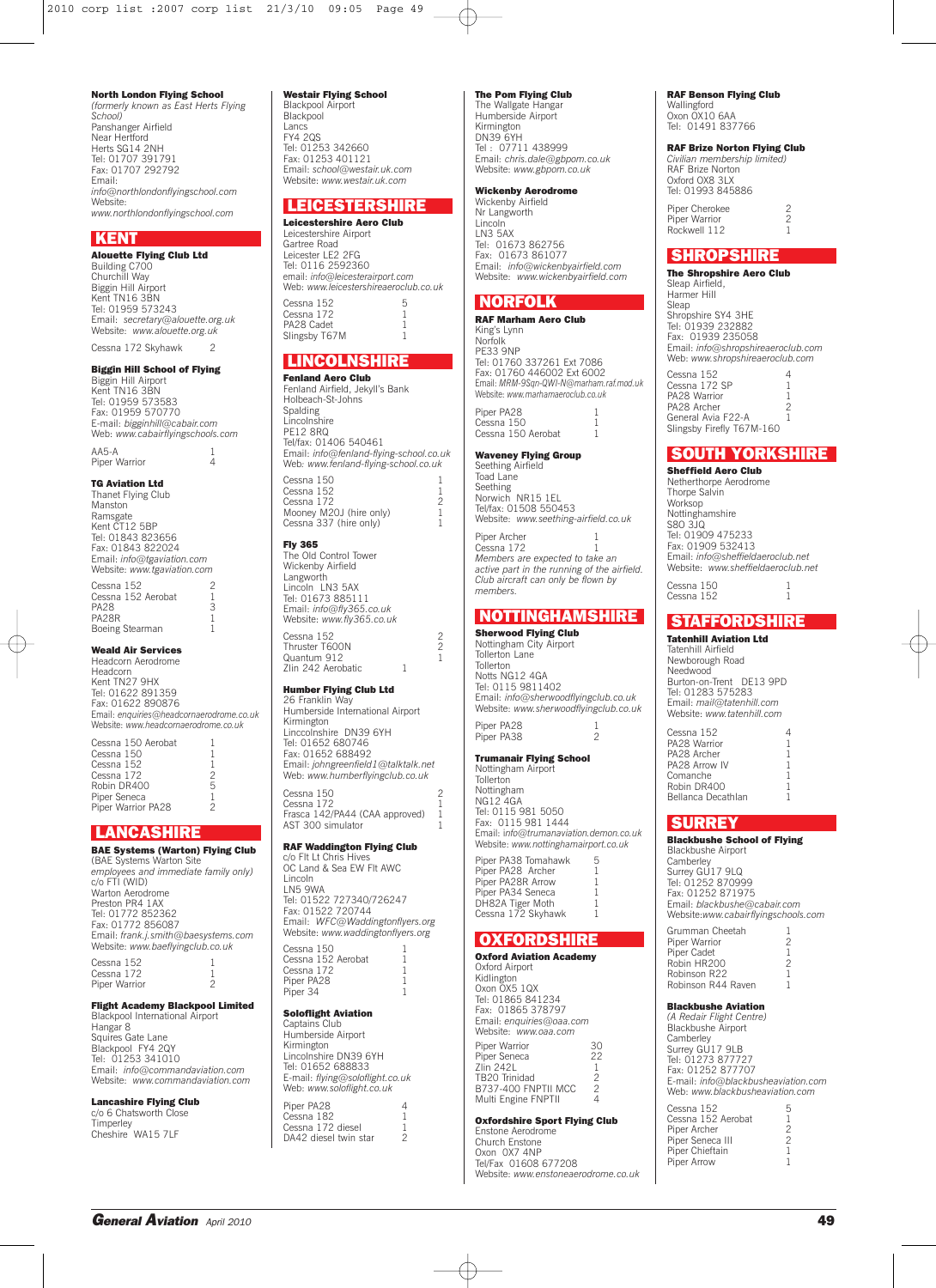**North London Flying School** *(formerly known as East Herts Flying School)* Panshanger Airfield Near Hertford Herts SG14 2NH Tel: 01707 391791

Fax: 01707 292792 Email: *info@northlondonflyingschool.com* Website: *www.northlondonflyingschool.com*

#### **KENT**

**Alouette Flying Club Ltd** Building C700 Churchill Way Biggin Hill Airport Kent TN16 3BN Tel: 01959 573243 Email: *secretary@alouette.org.uk* Website: *www.alouette.org.uk*

Cessna 172 Skyhawk 2

## **Biggin Hill School of Flying**

Biggin Hill Airport Kent TN16 3BN Tel: 01959 573583 Fax: 01959 570770 E-mail: *bigginhill@cabair.com* Web: *www.cabairflyingschools.com* AA5-A 1 Piner Warrior

#### **TG Aviation Ltd**

Thanet Flying Club Manston Ramsgate Kent CT12 5BP Tel: 01843 823656 Fax: 01843 822024 Email: *info@tgaviation.com* Website: *www.tgaviation.com*

Cessna 152 2 Cessna 152 Aerobat 1<br>PA28 3 **PA28** PA<sub>28R</sub> Boeing Stearman 1

## **Weald Air Services**

Headcorn Aerodrome Headcorn Kent TN27 9HX Tel: 01622 891359 Fax: 01622 890876 Email: *enquiries@headcornaerodrome.co.uk* Website: *www.headcornaerodrome.co.uk*

Cessna 150 Aerobat  $C$ essna 150 Cessna 152<br>Cessna 152 1<br>Cessna 172 2 Cessna 172<br>Robin DR400 5 Robin DR400 Piper Seneca 1 Piper Warrior PA28 2

## **LANCASHIRE**

**BAE Systems (Warton) Flying Club** (BAE Systems Warton Site *employees and immediate family only)* c/o FTI (WID) Warton Aerodrome Preston PR4 1AX Tel: 01772 852362 Fax: 01772 856087 Email: *frank.j.smith@baesystems.com* Website: *www.baeflyingclub.co.uk*

Cessna 152 Cessna 172 1 Piper Warrior 2

## **Flight Academy Blackpool Limited**

Blackpool International Airport Hangar 8 Squires Gate Lane Blackpool FY4 2QY Tel: 01253 341010 Email: *info@commandaviation.com* Website: *www.commandaviation.com*

**Lancashire Flying Club** c/o 6 Chatsworth Close Timperley Cheshire WA15 7LF

### **Westair Flying School**

Blackpool Airport Blackpool Lancs FY4 2QS Tel: 01253 342660 Fax: 01253 401121 Email: *school@westair.uk.com* Website: *www.westair.uk.com*

### **LEICESTERSHIRE**

**Leicestershire Aero Club** Leicestershire Airport Gartree Road Leicester LE2 2FG Tel: 0116 2592360 email: *info@leicesterairport.com* Web: *www.leicestershireaeroclub.co.uk*  $Cessna 152$  5 Cessna  $172$  1<br>PA28 Cadet 1 PA28 Cadet 1 Slingsby T67M 1

## **LINCOLNSHIRE**

**Fenland Aero Club** Fenland Airfield, Jekyll's Bank Holbeach-St-Johns Spalding Lincolnshire PF<sub>12</sub> 8RQ Tel/fax: 01406 540461 Email: *info@fenland-flying-school.co.uk* Web*: www.fenland-flying-school.co.uk* Cessna 150<br>Cessna 152 Cessna 152 1 Cessna 172 2 Mooney M20J (hire only) 1 Cessna 337 (hire only) 1

### **Fly 365**

The Old Control Tower Wickenby Airfield Langworth Lincoln LN3 5AX Tel: 01673 885111 Email: *info@fly365.co.uk* Website: *www.fly365.co.uk* Cessna 152 2 Thruster T600N<br>Quantum 912 1 Zlin 242 Aerobatic 1

## **Humber Flying Club Ltd**

26 Franklin Way Humberside International Airport Kirmington Linccolnshire DN39 6YH Tel: 01652 680746 Fax: 01652 688492 Email: *johngreenfield1@talktalk.net* Web: *www.humberflyingclub.co.uk*

Cessna 150<br>Cessna 172 1 Cessna 172 1 Frasca 142/PA44 (CAA approved) 1 AST 300 simulator 1

## **RAF Waddington Flying Club**

c/o Flt Lt Chris Hives OC Land & Sea EW Flt AWC Lincoln LN5 9WA Tel: 01522 727340/726247 Fax: 01522 720744 Email: *WFC@Waddingtonflyers.org* Website: *www.waddingtonflyers.org*

| UUJIKI LUU         |  |
|--------------------|--|
| Cessna 152 Aerobat |  |
| Cessna 172         |  |
| Piper PA28         |  |
| Piper 34           |  |
|                    |  |

 $m<sub>0</sub>$  150

### **Soloflight Aviation**

Captains Club Humberside Airport Kirmington Lincolnshire DN39 6YH Tel: 01652 688833 E-mail: *flying@soloflight.co.uk* Web: *www.soloflight.co.uk*

Piper PA28 4 Cessna 182 Cessna 172 diesel 1<br>DA42 diesel twin star 1 DA42 diesel twin star

#### **The Pom Flying Club**

The Wallgate Hangar Humberside Airport Kirmington DN39 6YH Tel : 07711 438999 Email: *chris.dale@gbpom.co.uk* Website: *www.gbpom.co.uk*

#### **Wickenby Aerodrome** Wickenby Airfield

Nr Langworth Lincoln LN3 5AX Tel: 01673 862756 Fax: 01673 861077 Email: *info@wickenbyairfield.com* Website: *www.wickenbyairfield.com*

## **NORFOLK**

**RAF Marham Aero Club** King's Lynn Norfolk PE33 9NP Tel: 01760 337261 Ext 7086 Fax: 01760 446002 Ext 6002 Email: *MRM-9Sqn-QWI-N@marham.raf.mod.uk* Website: *www.marhamaeroclub.co.uk* Piper PA28 Cessna 150 1 Cessna 150 Aerobat 1

**Waveney Flying Group**

Seething Airfield Toad Lane Seething Norwich NR15 1EL Tel/fax: 01508 550453 Website: *www.seething-airfield.co.uk*

Piper Archer 1<br>Cessna 172 1 Cessna 172 1 *Members are expected to take an active part in the running of the airfield. Club aircraft can only be flown by members.*

## **NOTTINGHAMSHIRE**

**Sherwood Flying Club** Nottingham City Airport Tollerton Lane Tollerton Notts NG12 4GA Tel: 0115 9811402 Email: *info@sherwoodflyingclub.co.uk* Website: *www.sherwoodflyingclub.co.uk* Piper PA28

Piper PA38

#### **Trumanair Flying School** Nottingham Airport

**Tollerton** Nottingham NG12 4GA Tel: 0115 981 5050 Fax: 0115 981 1444 Email: i*nfo@trumanaviation.demon.co.uk* Website: *www.nottinghamairport.co.uk* Piper PA38 Tomahawk 5 Piper PA28 Archer Piper PA28R Arrow Piper PA34 Seneca 1 DH82A Tiger Moth 1 Cessna 172 Skyhawk 1

## **OXFORDSHIRE**

**Oxford Aviation Academy** Oxford Airport Kidlington Oxon OX5 1QX Tel: 01865 841234 Fax: 01865 378797 Email: *enquiries@oaa.com* Website: *www.oaa.com* Piper Warrior 30<br>Piper Seneca 22 Piper Seneca 22<br>7lin 242l 1 Zlin 242L 1 TB20 Trinidad 2 B737-400 FNPTII MCC 2 Multi Engine FNPTII 4

### **Oxfordshire Sport Flying Club**

Enstone Aerodrome Church Enstone Oxon 0X7 4NP Tel/Fax 01608 677208 Website: *www.enstoneaerodrome.co.uk*

## **RAF Benson Flying Club**

Wallingford Oxon OX10 6AA Tel: 01491 837766

## **RAF Brize Norton Flying Club**

*Civilian membership limited)* RAF Brize Norton Oxford OX8 3LX Tel: 01993 845886 Piper Cherokee 2<br>Piper Warrior 2

Piper Warrior 2 Rockwell 112 1

## **SHROPSHIRE**

**The Shropshire Aero Club** Sleap Airfield, Harmer Hill .........<br>Sleap Shropshire SY4 3HE Tel: 01939 232882 Fax: 01939 235058 Email: *info@shropshireaeroclub.com* Web: *www.shropshireaeroclub.com*

Cessna 152 4 Cessna 172 SP 1 PA28 Warrior 1 PA28 Archer 2<br>General Avia F22-A 1 Slingsby Firefly T67M-160

## **SOUTH YORKSHIRE**

**Sheffield Aero Club** Netherthorpe Aerodrome Thorpe Salvin Worksop Nottinghamshire S8O 3JQ Tel: 01909 475233 Fax: 01909 532413 Email: *info@sheffieldaeroclub.net* Website: *www.sheffieldaeroclub.net* Cessna 150 1

Cessna 152

## **STAFFORDSHIRE**

**Tatenhill Aviation Ltd** Tatenhill Airfield Newborough Road Needwood Burton-on-Trent DE13 9PD Tel: 01283 575283 Email: *mail@tatenhill.com* Website: *www.tatenhill.com*

Cessna 152 PA28 Warrior PA28 Archer 1<br>PA28 Arrow IV 1 Comanche 1 Robin DR400 1 Bellanca Decathlan 1

### **SURREY**

**Blackbushe School of Flying** Blackbushe Airport

Camberley Surrey GU17 9LQ Tel: 01252 870999 Fax: 01252 871975 Email: *blackbushe@cabair.com* Website:*www.cabairflyingschools.com*

| 2<br>2 |
|--------|

## **Blackbushe Aviation**

*(A Redair Flight Centre)* Blackbushe Airport Camberley Surrey GU17 9LB Tel: 01273 877727 Fax: 01252 877707 E-mail: *info@blackbusheaviation.com* Web: *www.blackbusheaviation.com*

| Cessna 152         | 5 |
|--------------------|---|
| Cessna 152 Aerobat | 1 |
| Piper Archer       | 2 |
| Piper Seneca III   | 2 |
| Piper Chieftain    | 1 |
| Piper Arrow        |   |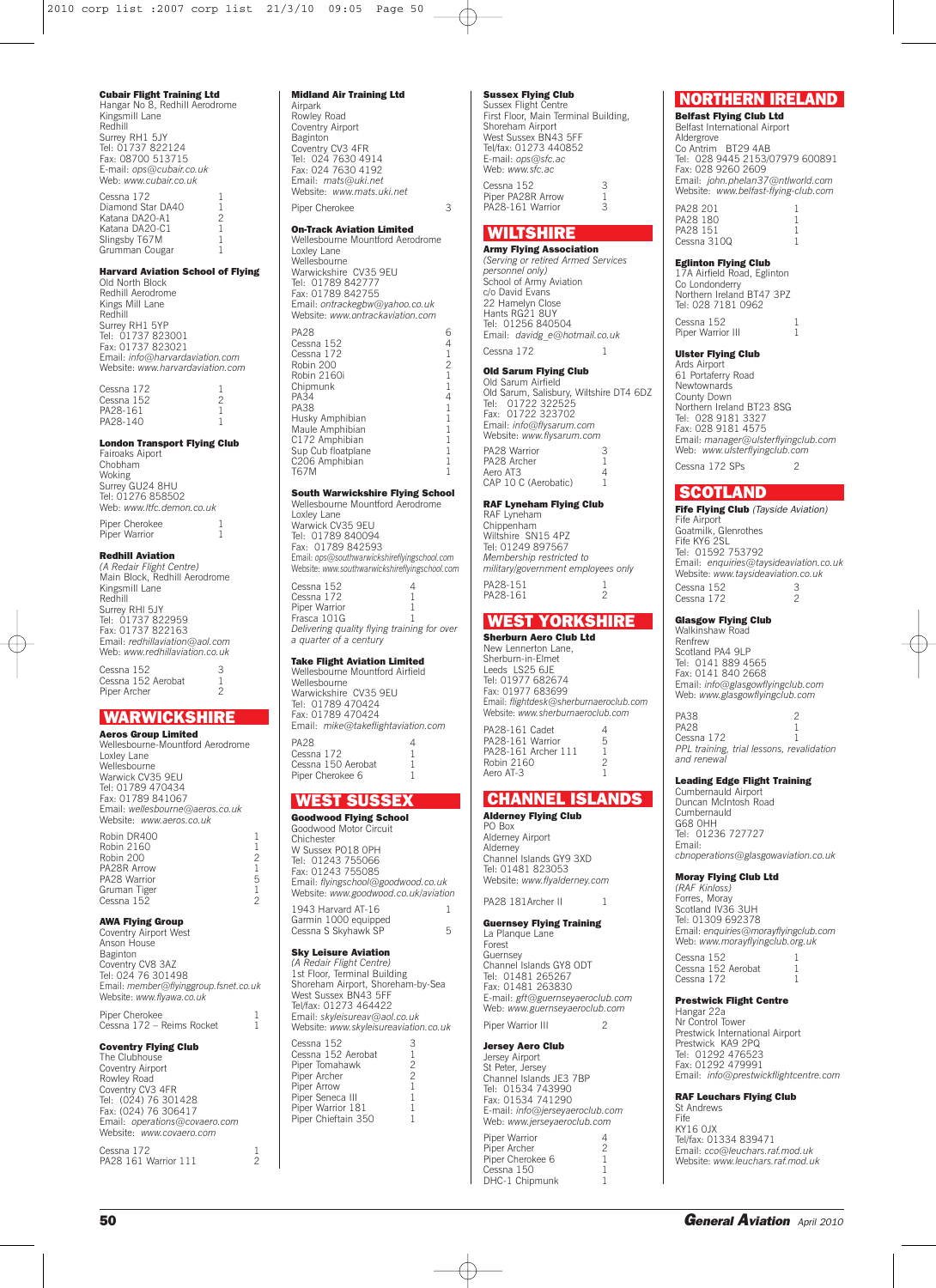## **Cubair Flight Training Ltd**

Hangar No 8, Redhill Aerodrome Kingsmill Lane Redhill Surrey RH1 5JY Tel: 01737 822124 Fax: 08700 513715 E-mail: *ops@cubair.co.uk* Web: *www.cubair.co.uk* Cessna 172

Diamond Star DA40 1<br>
Katana DA20-A1 2 Katana DA20-A1 2 Katana DA20-C1 1 Slingsby T67M Grumman Cougar

#### **Harvard Aviation School of Flying**

Old North Block Redhill Aerodrome Kings Mill Lane Redhill Surrey RH1 5YP Tel: 01737 823001 Fax: 01737 823021 Email: *info@harvardaviation.com* Website: *www.harvardaviation.com*

Cessna 172 1<br>Cessna 152 2 Cessna 152 2<br>PA28-161 2 PA28-161 1<br>PA28-140 1 PA28-140

**London Transport Flying Club** Fairoaks Aiport Chobham Woking Surrey GU24 8HU Tel: 01276 858502 Web: *www.ltfc.demon.co.uk*

Piper Cherokee 1<br>Piper Warrior 1 Piper Warrior

### **Redhill Aviation**

*(A Redair Flight Centre)* Main Block, Redhill Aerodrome Kingsmill Lane Redhill Surrey RHl 5JY Tel: 01737 822959 Fax: 01737 822163 Email: *redhillaviation@aol.com* Web: *www.redhillaviation.co.uk*

Cessna 152 3 Cessna 152 Aerobat 1 Piper Archer

## **WARWICKSHIRE**

**Aeros Group Limited** Wellesbourne-Mountford Aerodrome Loxley Lane Wellesbourne Warwick CV35 9EU Tel: 01789 470434 Fax: 01789 841067 Email: *wellesbourne@aeros.co.uk* Website: *www.aeros.co.uk*

Robin DR400 1 Robin 2160 1<br>Robin 200 2 Robin 200 2 PA28R Arrow 1 PA28 Warrior 5 Gruman Tiger 1 Cessna 152 2

**AWA Flying Group** Coventry Airport West Anson House Baginton Coventry CV8 3AZ Tel: 024 76 301498 Email: *member@flyinggroup.fsnet.co.uk* Website: *www.flyawa.co.uk*

Piper Cherokee<br>Cessna 172 – Reims Rocket 1 Cessna 172 – Reims Rocket

## **Coventry Flying Club**

The Clubhouse Coventry Airport Rowley Road Coventry CV3 4FR Tel: (024) 76 301428 Fax: (024) 76 306417 Email: *operations@covaero.com* Website: *www.covaero.com*

Cessna 172 1 PA28 161 Warrior 111 2

### **Midland Air Training Ltd**

Airpark Rowley Road Coventry Airport Baginton Coventry CV3 4FR Tel: 024 7630 4914 Fax: 024 7630 4192 Email: *mats@uki.net* Website: *www.mats.uki.net* Piper Cherokee 3

#### **On-Track Aviation Limited** Wellesbourne Mountford Aerodrome

Loxley Lane Wellesbourne Warwickshire CV35 9EU Tel: 01789 842777 Fax: 01789 842755 Email: *ontrackegbw@yahoo.co.uk* Website: *www.ontrackaviation.com* PA28 6 Cessna 152 Cessna 172<br>Robin 200 12 Probin 200<br>
Robin 2160<br>
1 Robin 2160i Chipmunk 1<br>PA34 4 PA34 4

PA38 1 Husky Amphibian 1 Maule Amphibian C172 Amphibian 1 Sup Cub floatplane 1<br>C<sub>206</sub> Amphibian 1 C<sub>206</sub> Amphibian

T67M 1

#### **South Warwickshire Flying School** Wellesbourne Mountford Aerodrome

Loxley Lane Warwick CV35 9EU Tel: 01789 840094 Fax: 01789 842593 Email: *ops@southwarwickshireflyingschool.com* Website: *www.southwarwickshireflyingschool.com*

Cessna 152 4 Cessna 172 Piper Warrior<br>Frasca 101G Frasca 101G 1 *Delivering quality flying training for over a quarter of a century*

## **Take Flight Aviation Limited**

Wellesbourne Mountford Airfield Wellesbourne Warwickshire CV35 9EU Tel: 01789 470424 Fax: 01789 470424 Email: *mike@takeflightaviation.com* PA28 Cessna 172 Cessna 150 Aerobat 1<br>Piner Cherokee 6 1 Piper Cherokee 6

### **WEST SUSSEX**

**Goodwood Flying School** Goodwood Motor Circuit Chichester W Sussex PO18 0PH Tel: 01243 755066 Fax: 01243 755085 Email: *flyingschool@goodwood.co.uk* Website: *www.goodwood.co.uk/aviation* 1943 Harvard AT-16 1 Garmin 1000 equipped Cessna S Skyhawk SP 5

## **Sky Leisure Aviation**

*(A Redair Flight Centre)* 1st Floor, Terminal Building Shoreham Airport, Shoreham-by-Sea West Sussex BN43 5FF Tel/fax: 01273 464422 Email: *skyleisureav@aol.co.uk* Website: *www.skyleisureaviation.co.uk*

Cessna 152 3 Cessna 152 Aerobat 1 Piper Tomahawk 2<br>Piper Tomahawk 2<br>Piner Archer 2 Piner Archer Piper Arrow 1 Piner Seneca III Piper Concod III<br>Piper Warrior 181 Piner Chieftain 350

### **Sussex Flying Club**

Sussex Flight Centre First Floor, Main Terminal Building, Shoreham Airport West Sussex BN43 5FF Tel/fax: 01273 440852 E-mail: *ops@sfc.ac* Web: *www.sfc.ac* Cessna 152 3 Piper PA28R Arrow 1 PA28-161 Warrior 3

## **WILTSHIRE**

## **Army Flying Association**

*(Serving or retired Armed Services personnel only)* School of Army Aviation c/o David Evans 22 Hamelyn Close Hants RG21 8UY Tel: 01256 840504 Email: *davidg\_e@hotmail.co.uk* Cessna 172 1

## **Old Sarum Flying Club**

Old Sarum Airfield Old Sarum, Salisbury, Wiltshire DT4 6DZ Tel: 01722 322525 Fax: 01722 323702 Email: *info@flysarum.com* Website: *www.flysarum.com* PA28 Warrior 3<br>PA28 Archer 1 PA28 Archer Aero AT3 4 CAP 10 C (Aerobatic) 1

#### **RAF Lyneham Flying Club**

RAF Lyneham Chippenham Wiltshire SN15 4PZ Tel: 01249 897567 *Membership restricted to military/government employees only* PA28-151 1<br>PA28-161 2 PA28-161

## **WEST YORKSHIRE**

**Sherburn Aero Club Ltd** New Lennerton Lane, Sherburn-in-Elmet Leeds LS25 6JE Tel: 01977 682674 Fax: 01977 683699 Email: *flightdesk@sherburnaeroclub.com* Website: *www.sherburnaeroclub.com* PA28-161 Cadet 4<br>PA28-161 Warrior 5 PA28-161 Warrior 5 PA28-161 Archer 111 1

## **CHANNEL ISLANDS**

**Alderney Flying Club** PO Box Alderney Airport Alderney Channel Islands GY9 3XD Tel: 01481 823053 Website: *www.flyalderney.com*

Robin 2160 2<br>Aero AT-3 1

Aero AT-3

PA28 181Archer II 1

**Guernsey Flying Training** La Planque Lane Forest Guernsey Channel Islands GY8 ODT Tel: 01481 265267 Fax: 01481 263830 E-mail: *gft@guernseyaeroclub.com* Web: *www.guernseyaeroclub.com* Piper Warrior III 2

## **Jersey Aero Club** Jersey Airport St Peter, Jersey Channel Islands JE3 7BP Tel: 01534 743990 Fax: 01534 741290 E-mail: *info@jerseyaeroclub.com* Web: *www.jerseyaeroclub.com*

Piper Warrior 4<br>Piper Archer 2 Piner Archer Piper Cherokee 6 1<br>Cessna 150 1 Cessna 150 1<br>DHC-1 Chipmunk 1 DHC-1 Chipmunk

## **NORTHERN IRELAND**

## **Belfast Flying Club Ltd** Belfast International Airport Aldergrove Co Antrim BT29 4AB

Tel: 028 9445 2153/07979 600891 Fax: 028 9260 2609 Email: *john.phelan37@ntlworld.com* Website: *www.belfast-flying-club.com* PA28 201

| PA28 180    |
|-------------|
| PA28 151    |
| Cessna 310Q |
|             |

## **Eglinton Flying Club**

17A Airfield Road, Eglinton Co Londonderry Northern Ireland BT47 3PZ Tel: 028 7181 0962 Cessna 152 Piper Warrior III

## **Ulster Flying Club**

Ards Airport 61 Portaferry Road Newtownards County Down Northern Ireland BT23 8SG Tel: 028 9181 3327 Fax: 028 9181 4575 Email: *manager@ulsterflyingclub.com* Web: *www.ulsterflyingclub.com*  $C \text{e} \text{sgn}$  172 SPs 2

## **SCOTLAND**

**Fife Flying Club** *(Tayside Aviation)* Fife Airport Goatmilk, Glenrothes Fife KY6 2SL Tel: 01592 753792 Email: *enquiries@taysideaviation.co.uk* Website: *www.taysideaviation.co.uk* Cessna 152<br>Cessna 172 3 Cessna 172

#### **Glasgow Flying Club** Walkinshaw Road

Renfrew Scotland PA4 9LP Tel: 0141 889 4565 Fax: 0141 840 2668 Email: *info@glasgowflyingclub.com* Web: *www.glasgowflyingclub.com*

PA38 PA28 1<br>Cessna 172 1 Cessna 172 1 *PPL training, trial lessons, revalidation and renewal*

## **Leading Edge Flight Training**

Cumbernauld Airport Duncan McIntosh Road Cumbernauld G68 0HH Tel: 01236 727727 Email: *cbnoperations@glasgowaviation.co.uk*

**Moray Flying Club Ltd**

*(RAF Kinloss)* Forres, Moray Scotland IV36 3UH Tel: 01309 692378 Email: *enquiries@morayflyingclub.com* Web: *www.morayflyingclub.org.uk* Cessna 152 1<br>Cessna 152 Aerobat 1 Cessna 152 Aerobat Cessna 172

#### **Prestwick Flight Centre**

Hangar 22a Nr Control Tower Prestwick International Airport Prestwick KA9 2PQ Tel: 01292 476523 Fax: 01292 479991 Email: *info@prestwickflightcentre.com*

#### **RAF Leuchars Flying Club** St Andrews

Fife KY16 0JX Tel/fax: 01334 839471 Email: *cco@leuchars.raf.mod.uk* Website: *www.leuchars.raf.mod.uk*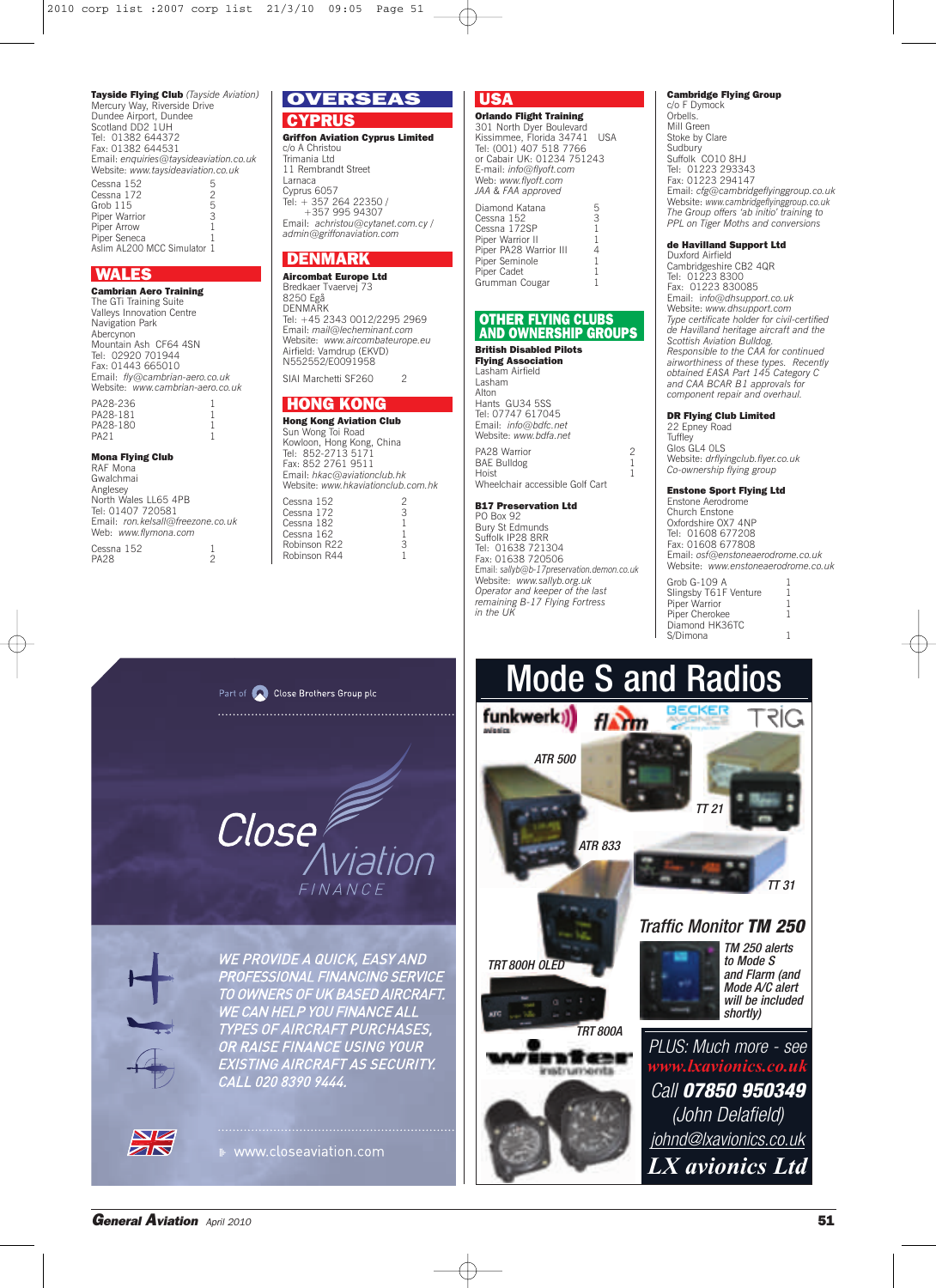**Tayside Flying Club** *(Tayside Aviation)* Mercury Way, Riverside Drive Dundee Airport, Dundee Scotland DD<sub>2</sub> 1UH Tel: 01382 644372 Fax: 01382 644531 Email: *enquiries@taysideaviation.co.uk* Website: *www.taysideaviation.co.uk*  $Cessna 152$  5 Cessna 172  $\frac{2}{5}$ Grob 115<br>Piner Warrior 3 **Piper Warrior** Piper Arrow<br>Piper Seneca Piper Seneca 1 Aslim AL200 MCC Simulator 1

## **WALES**

**Cambrian Aero Training** The GTi Training Suite Valleys Innovation Centre Navigation Park Abercynon Mountain Ash CF64 4SN Tel: 02920 701944 Fax: 01443 665010 Email: *fly@cambrian-aero.co.uk* Website: *www.cambrian-aero.co.uk*

#### PA28-236 PA28-181 PA28-180 PA21 1

#### **Mona Flying Club**

RAF Mona Gwalchmai Anglesey North Wales LL65 4PB Tel: 01407 720581 Email: *ron.kelsall@freezone.co.uk* Web: *www.flymona.com* Cessna 152 1 PA28 2

# **OVERSEAS**

**CYPRUS Griffon Aviation Cyprus Limited** c/o A Christou Trimania Ltd 11 Rembrandt Street Larnaca Cyprus 6057 Tel: + 357 264 22350 / +357 995 94307 Email: *achristou@cytanet.com.cy / admin@griffonaviation.com*

## **DENMARK**

**Aircombat Europe Ltd** Bredkaer Tvaervej 73 8250 Egå **DENMARK** Tel: +45 2343 0012/2295 2969 Email: *mail@lecheminant.com* Website: *www.aircombateurope.eu* Airfield: Vamdrup (EKVD) N552552/E0091958 SIAI Marchetti SF260

### **HONG KONG**

Robinson R44

**Hong Kong Aviation Club** Sun Wong Toi Road Kowloon, Hong Kong, China Tel: 852-2713 5171 Fax: 852 2761 9511 Email: *hkac@aviationclub.hk* Website: *www.hkaviationclub.com.hk* Cessna 152<br>Cessna 172 3 Cessna 172 3 Cessna 182 Cessna 162 1<br>Robinson R22 3 Robinson R22 3<br>Robinson R44 1

## **USA**

**Orlando Flight Training** 301 North Dyer Boulevard Kissimmee, Florida 34741 USA Tel: (001) 407 518 7766 or Cabair UK: 01234 751243 E-mail: *info@flyoft.com* Web: *www.flyoft.com JAA & FAA approved*

| Diamond Katana         | 5            |
|------------------------|--------------|
| Cessna 152             | 3            |
| Cessna 172SP           | $\mathbf{1}$ |
| Piper Warrior II       | 1            |
| Piper PA28 Warrior III | 4            |
| Piper Seminole         | 1            |
| Piper Cadet            | 1            |
| Grumman Cougar         |              |
|                        |              |

### **OTHER FLYING CLUBS AND OWNERSHIP GROUPS**

## **British Disabled Pilots**

**Flying Association** Lasham Airfield Lasham Alton Hants GU34 5SS Tel: 07747 617045 Email: *info@bdfc.net* Website: *www.bdfa.net* PA28 Warrior 2 BAE Bulldog 1 Hoist 1 Wheelchair accessible Golf Cart

## **B17 Preservation Ltd**

PO Box 92 Bury St Edmunds Suffolk IP28 8RR Tel: 01638 721304 Fax: 01638 720506 Email: *sallyb@b-17preservation.demon.co.uk* Website: *www.sallyb.org.uk Operator and keeper of the last remaining B-17 Flying Fortress in the UK*

## **Cambridge Flying Group**

c/o F Dymock Orbells. Mill Green Stoke by Clare Sudbury Suffolk CO10 8HJ Tel: 01223 293343 Fax: 01223 294147 Email: *cfg@cambridgeflyinggroup.co.uk* Website: *www.cambridgeflyinggroup.co.uk The Group offers 'ab initio' training to PPL on Tiger Moths and conversions*

## **de Havilland Support Ltd**

Duxford Airfield Cambridgeshire CB2 4QR Tel: 01223 8300 Fax: 01223 830085 Email: i*nfo@dhsupport.co.uk* Website: *www.dhsupport.com Type certificate holder for civil-certified de Havilland heritage aircraft and the Scottish Aviation Bulldog. Responsible to the CAA for continued airworthiness of these types. Recently obtained EASA Part 145 Category C and CAA BCAR B1 approvals for component repair and overhaul.*

### **DR Flying Club Limited**

22 Epney Road **Tuffley** Glos GL4 OLS Website: *drflyingclub.flyer.co.uk Co-ownership flying group*

#### **Enstone Sport Flying Ltd**

Enstone Aerodrome Church Enstone Oxfordshire OX7 4NP Tel: 01608 677208 Fax: 01608 677808 Email: *osf@enstoneaerodrome.co.uk* Website: *www.enstoneaerodrome.co.uk*

| Grob G-109 A          |   |
|-----------------------|---|
| Slingsby T61F Venture | ı |
| Piper Warrior         | 1 |
| Piper Cherokee        | ı |
| Diamond HK36TC        |   |
| S/Dimona              |   |
|                       |   |



**WE PROVIDE A QUICK, EASY AND** PROFESSIONAL FINANCING SERVICE TO OWNERS OF UK BASED AIRCRAFT. WE CAN HELP YOU FINANCE ALL EXISTING AIRCRAFT AS SECURITY.<br>EXISTING AIRCRAFT AS SECURITY.

www.closeaviation.com





 $\sum$  $ZN$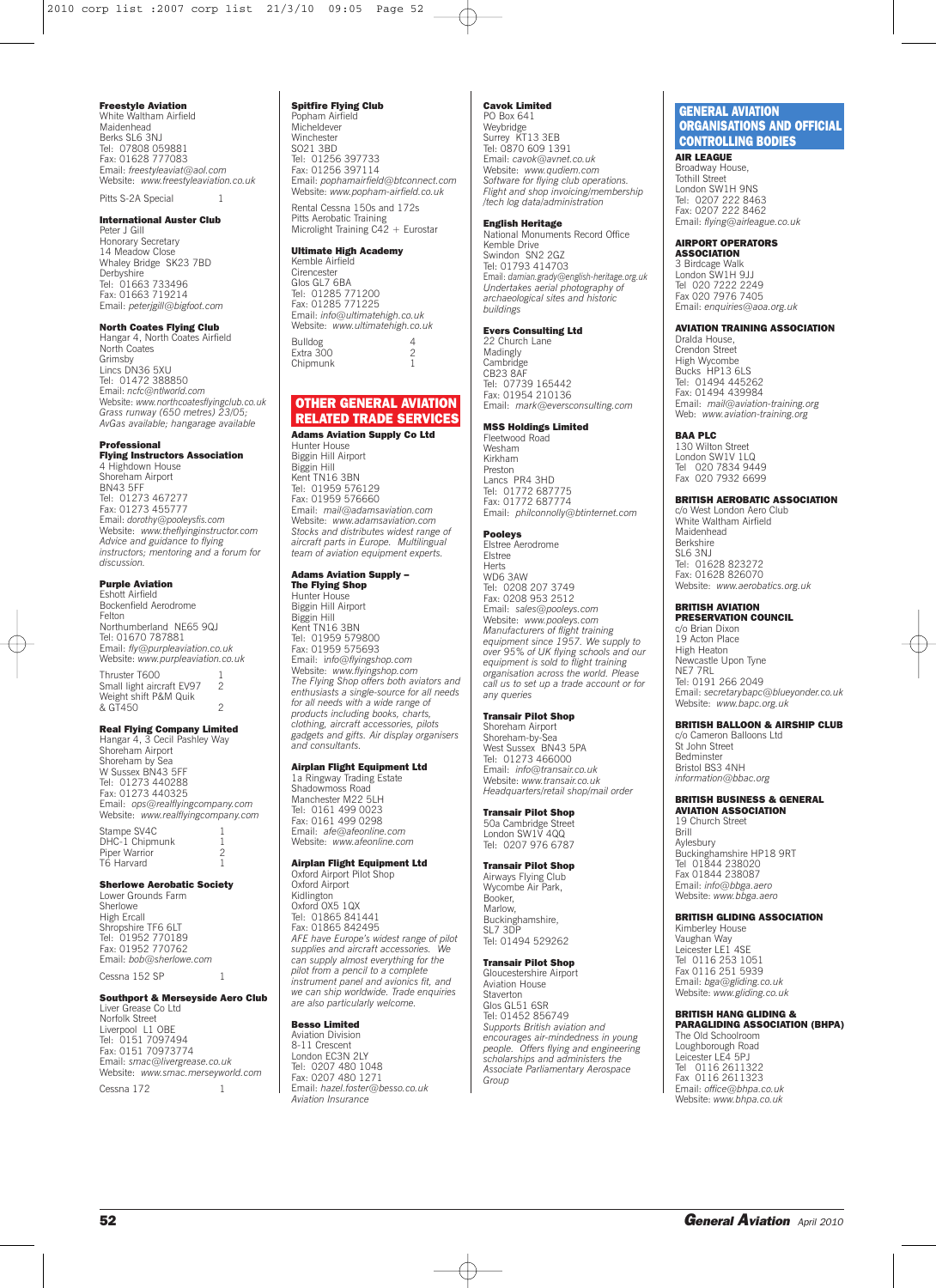### **Freestyle Aviation**

White Waltham Airfield Maidenhead Berks SL6 3NJ Tel: 07808 059881 Fax: 01628 777083 Email: *freestyleaviat@aol.com* Website: *www.freestyleaviation.co.uk*

## Pitts S-2A Special

**International Auster Club**

Peter J Gill Honorary Secretary 14 Meadow Close Whaley Bridge SK23 7BD Derbyshire Tel: 01663 733496 Fax: 01663 719214 Email: *peterjgill@bigfoot.com*

## **North Coates Flying Club**

Hangar 4, North Coates Airfield North Coates Grimsby Lincs DN36 5XU Tel: 01472 388850 Email: *ncfc@ntlworld.com* Website: *www.northcoatesflyingclub.co.uk Grass runway (650 metres) 23/05; AvGas available; hangarage available*

#### **Professional**

**Flying Instructors Association** 4 Highdown House Shoreham Airport BN43 5FF Tel: 01273 467277 Fax: 01273 455777 Email: *dorothy@pooleysfis.com* Website: *www.theflyinginstructor.com Advice and guidance to flying instructors; mentoring and a forum for discussion.*

#### **Purple Aviation**

Eshott Airfield Bockenfield Aerodrome Felton Northumberland NE65 9QJ Tel: 01670 787881 Email: *fly@purpleaviation.co.uk* Website: *www.purpleaviation.co.uk* Thruster T600 1<br>Small light aircraft FV97 2 Small light aircraft EV97 2 Weight shift P&M Quik example.com can do the candler of the state of the candidate the control of the candidate of the candidate control of the control of the control of the control of the control of the control of the control of the control of

#### **Real Flying Company Limited**

Hangar 4, 3 Cecil Pashley Way Shoreham Airport Shoreham by Sea W Sussex BN43 5FF Tel: 01273 440288 Fax: 01273 440325 Email: *ops@realflyingcompany.com* Website: *www.realflyingcompany.com*

Stampe SV4C 1 DHC-1 Chipmunk 1 Piper Warrior 2 T6 Harvard

### **Sherlowe Aerobatic Society**

Lower Grounds Farm Sherlowe High Ercall Shropshire TF6 6LT Tel: 01952 770189 Fax: 01952 770762 Email: *bob@sherlowe.com* Cessna 152 SP 1

## **Southport & Merseyside Aero Club**

Liver Grease Co Ltd Norfolk Street Liverpool L1 OBE Tel: 0151 7097494 Fax: 0151 70973774 Email: *smac@livergrease.co.uk* Website: *www.smac.merseyworld.com* Cessna 172 1

### **Spitfire Flying Club**

Popham Airfield Micheldever Winchester SO21 3BD Tel: 01256 397733 Fax: 01256 397114 Email: *pophamairfield@btconnect.com* Website: *www.popham-airfield.co.uk* Rental Cessna 150s and 172s

Pitts Aerobatic Training Microlight Training C42 + Eurostar

#### **Ultimate High Academy** Kemble Airfield

**Cirencester** Glos GL7 6BA Tel: 01285 771200 Fax: 01285 771225 Email: *info@ultimatehigh.co.uk* Website: *www.ultimatehigh.co.uk* Bulldog 4 Extra 300 2 Chipmunk 1

## **OTHER GENERAL AVIATION RELATED TRADE SERVICES**

**Adams Aviation Supply Co Ltd** Hunter House Biggin Hill Airport Biggin Hill Kent TN16 3BN Tel: 01959 576129 Fax: 01959 576660 Email: *mail@adamsaviation.com* Website: *www.adamsaviation.com Stocks and distributes widest range of aircraft parts in Europe. Multilingual team of aviation equipment experts.*

## **Adams Aviation Supply –**

**The Flying Shop** Hunter House Biggin Hill Airport Biggin Hill Kent TN16 3BN Tel: 01959 579800 Fax: 01959 575693 Email: info@flyingshop.com<br>Website: www.flyingshop.com<br>The Flying Shop offers both aviators and<br>enthusiasts a single-source for all needs<br>for all needs with a wide range of<br>products including books, charts, *clothing, aircraft accessories, pilots gadgets and gifts. Air display organisers and consultants.*

### **Airplan Flight Equipment Ltd**

1a Ringway Trading Estate Shadowmoss Road Manchester M22 5LH Tel: 0161 499 0023 Fax: 0161 499 0298 Email: *afe@afeonline.com* Website: *www.afeonline.com*

## **Airplan Flight Equipment Ltd**

Oxford Airport Pilot Shop Oxford Airport Kidlington Oxford OX5 1QX Tel: 01865 841441 Fax: 01865 842495 *AFE have Europe's widest range of pilot supplies and aircraft accessories. We can supply almost everything for the pilot from a pencil to a complete instrument panel and avionics fit, and we can ship worldwide. Trade enquiries are also particularly welcome.*

#### **Besso Limited** Aviation Division

8-11 Crescent London EC3N 2LY Tel: 0207 480 1048 Fax: 0207 480 1271 Email: *hazel.foster@besso.co.uk Aviation Insurance*

#### **Cavok Limited** PO Box 641

Weybridge Surrey KT13 3EB Tel: 0870 609 1391 Email: *cavok@avnet.co.uk* Website: *www.qudiem.com Software for flying club operations. Flight and shop invoicing/membership /tech log data/administration*

#### **English Heritage**

National Monuments Record Office Kemble Drive Swindon SN2 2GZ Tel: 01793 414703 Email: *damian.grady@english-heritage.org.uk Undertakes aerial photography of archaeological sites and historic buildings*

## **Evers Consulting Ltd**

22 Church Lane Madingly **Cambridge** CB<sub>23</sub> 8AF Tel: 07739 165442 Fax: 01954 210136 Email: *mark@eversconsulting.com*

## **MSS Holdings Limited**

Fleetwood Road Wesham Kirkham Preston Lancs PR4 3HD Tel: 01772 687775 Fax: 01772 687774 Email: *philconnolly@btinternet.com*

### **Pooleys**

Elstree Aerodrome Elstree Herts WD6 3AW Tel: 0208 207 3749 Fax: 0208 953 2512 Email: sales@pooleys.com<br>Website: www.pooleys.com<br>Manufacturers of flight training<br>equipment since 1957. We supply to<br>over 95% of UK flying schools and our<br>equipment is sold to flight training *organisation across the world. Please call us to set up a trade account or for any queries*

### **Transair Pilot Shop**

Shoreham Airport Shoreham-by-Sea West Sussex BN43 5PA Tel: 01273 466000 Email: *info@transair.co.uk* Website: *www.transair.co.uk Headquarters/retail shop/mail order*

## **Transair Pilot Shop**

50a Cambridge Street London SW1V 4QQ Tel: 0207 976 6787

## **Transair Pilot Shop**

Airways Flying Club Wycombe Air Park, Booker, Marlow, Buckinghamshire,  $SI$  7 3DP Tel: 01494 529262

#### **Transair Pilot Shop** Gloucestershire Airport

Aviation House Staverton Glos GL51 6SR Tel: 01452 856749 *Supports British aviation and encourages air-mindedness in young people. Offers flying and engineering scholarships and administers the Associate Parliamentary Aerospace Group*

## **GENERAL AVIATION ORGANISATIONS AND OFFICIAL CONTROLLING BODIES**

**AIR LEAGUE** Broadway House, Tothill Street London SW1H 9NS Tel: 0207 222 8463 Fax: 0207 222 8462 Email: *flying@airleague.co.uk*

### **AIRPORT OPERATORS**

**ASSOCIATION** 3 Birdcage Walk London SW1H 9JJ Tel 020 7222 2249 Fax 020 7976 7405 Email: *enquiries@aoa.org.uk*

### **AVIATION TRAINING ASSOCIATION**

Dralda House,<br>Crendon Street Crendon Street High Wycombe Bucks HP13 6LS Tel: 01494 445262 Fax: 01494 439984 Email: *mail@aviation-training.org* Web: *www.aviation-training.org*

#### **BAA PLC**

130 Wilton Street London SW1V 1LQ Tel 020 7834 9449 Fax 020 7932 6699

### **BRITISH AEROBATIC ASSOCIATION**

c/o West London Aero Club White Waltham Airfield Maidenhead Berkshire SL6 3NJ Tel: 01628 823272 Fax: 01628 826070 Website: *www.aerobatics.org.uk*

## **BRITISH AVIATION**

**PRESERVATION COUNCIL** c/o Brian Dixon 19 Acton Place High Heaton Newcastle Upon Tyne NE7 7RL Tel: 0191 266 2049 Email: *secretarybapc@blueyonder.co.uk* Website: *www.bapc.org.uk*

#### **BRITISH BALLOON & AIRSHIP CLUB**

c/o Cameron Balloons Ltd St John Street Bedminster Bristol BS3 4NH *information@bbac.org*

#### **BRITISH BUSINESS & GENERAL AVIATION ASSOCIATION**

19 Church Street **Brill** Aylesbury Buckinghamshire HP18 9RT Tel 01844 238020 Fax 01844 238087 Email: *info@bbga.aero* Website: *www.bbga.aero*

#### **BRITISH GLIDING ASSOCIATION**

Kimberley House Vaughan Way Leicester LE1 4SE Tel 0116 253 1051 Fax 0116 251 5939 Email: *bga@gliding.co.uk* Website: *www.gliding.co.uk*

#### **BRITISH HANG GLIDING & PARAGLIDING ASSOCIATION (BHPA)**

The Old Schoolroom Loughborough Road Leicester LE4 5PJ Tel 0116 2611322 Fax 0116 2611323 Email: *office@bhpa.co.uk* Website: *www.bhpa.co.uk*